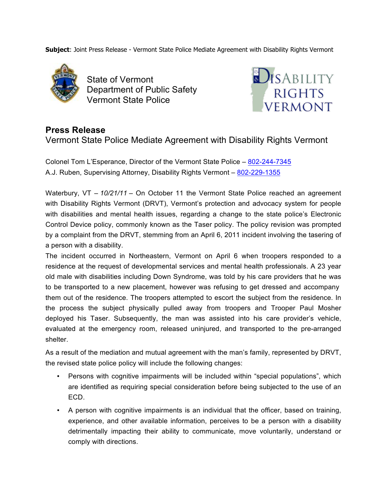**Subject**: Joint Press Release - Vermont State Police Mediate Agreement with Disability Rights Vermont



State of Vermont Department of Public Safety Vermont State Police



## **Press Release**

Vermont State Police Mediate Agreement with Disability Rights Vermont

Colonel Tom L'Esperance, Director of the Vermont State Police – 802-244-7345 A.J. Ruben, Supervising Attorney, Disability Rights Vermont – 802-229-1355

Waterbury, VT – 10/21/11 – On October 11 the Vermont State Police reached an agreement with Disability Rights Vermont (DRVT), Vermont's protection and advocacy system for people with disabilities and mental health issues, regarding a change to the state police's Electronic Control Device policy, commonly known as the Taser policy. The policy revision was prompted by a complaint from the DRVT, stemming from an April 6, 2011 incident involving the tasering of a person with a disability.

The incident occurred in Northeastern, Vermont on April 6 when troopers responded to a residence at the request of developmental services and mental health professionals. A 23 year old male with disabilities including Down Syndrome, was told by his care providers that he was to be transported to a new placement, however was refusing to get dressed and accompany them out of the residence. The troopers attempted to escort the subject from the residence. In the process the subject physically pulled away from troopers and Trooper Paul Mosher deployed his Taser. Subsequently, the man was assisted into his care provider's vehicle, evaluated at the emergency room, released uninjured, and transported to the pre-arranged shelter.

As a result of the mediation and mutual agreement with the man's family, represented by DRVT, the revised state police policy will include the following changes:

- Persons with cognitive impairments will be included within "special populations", which are identified as requiring special consideration before being subjected to the use of an ECD.
- A person with cognitive impairments is an individual that the officer, based on training, experience, and other available information, perceives to be a person with a disability detrimentally impacting their ability to communicate, move voluntarily, understand or comply with directions.